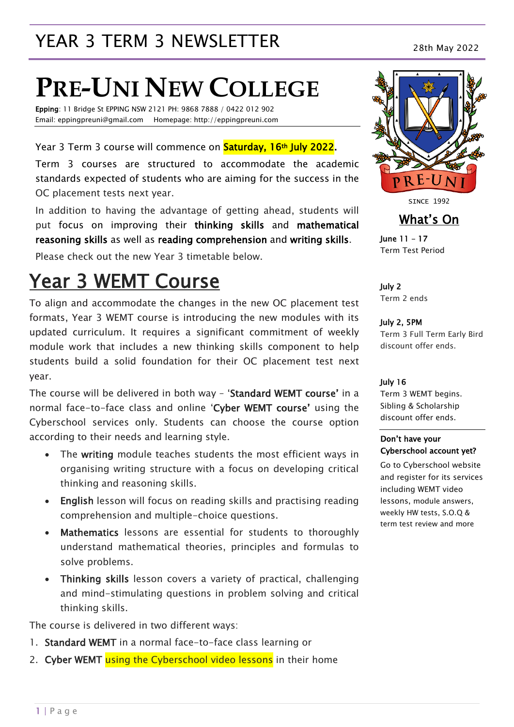## YEAR 3 TERM 3 NEWSLETTER 28th May 2022

# **PRE-UNI NEW COLLEGE**

Epping: 11 Bridge St EPPING NSW 2121 PH: 9868 7888 / 0422 012 902 Email: eppingpreuni@gmail.com Homepage: http://eppingpreuni.com

Year 3 Term 3 course will commence on **Saturday, 16th July 2022.** 

Term 3 courses are structured to accommodate the academic standards expected of students who are aiming for the success in the OC placement tests next year.

In addition to having the advantage of getting ahead, students will put focus on improving their thinking skills and mathematical reasoning skills as well as reading comprehension and writing skills.

Please check out the new Year 3 timetable below.

### Year 3 WEMT Course

To align and accommodate the changes in the new OC placement test formats, Year 3 WEMT course is introducing the new modules with its updated curriculum. It requires a significant commitment of weekly module work that includes a new thinking skills component to help students build a solid foundation for their OC placement test next year.

The course will be delivered in both way – 'Standard WEMT course' in a normal face-to-face class and online 'Cyber WEMT course' using the Cyberschool services only. Students can choose the course option according to their needs and learning style.

- The writing module teaches students the most efficient ways in organising writing structure with a focus on developing critical thinking and reasoning skills.
- English lesson will focus on reading skills and practising reading comprehension and multiple-choice questions.
- Mathematics lessons are essential for students to thoroughly understand mathematical theories, principles and formulas to solve problems.
- Thinking skills lesson covers a variety of practical, challenging and mind-stimulating questions in problem solving and critical thinking skills.

The course is delivered in two different ways:

- 1. Standard WEMT in a normal face-to-face class learning or
- 2. Cyber WEMT using the Cyberschool video lessons in their home



SINCE 1992

What's On

June 11 – 17 Term Test Period

July 2 Term 2 ends

July 2, 5PM Term 3 Full Term Early Bird discount offer ends.

#### July 16

Term 3 WEMT begins. Sibling & Scholarship discount offer ends.

#### Don't have your Cyberschool account yet?

Go to Cyberschool website and register for its services including WEMT video lessons, module answers, weekly HW tests, S.O.Q & term test review and more